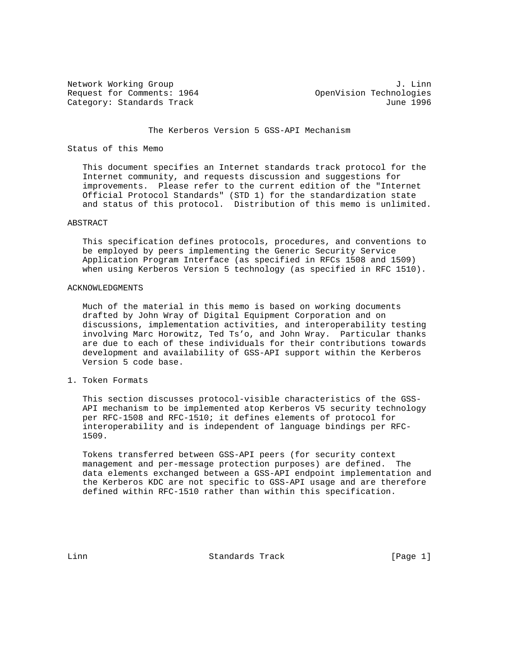Network Working Group 3. 2008 3. 2012 1. John Metwork Working Group 3. 2013 Request for Comments: 1964 OpenVision Technologies Category: Standards Track June 1996

## The Kerberos Version 5 GSS-API Mechanism

## Status of this Memo

 This document specifies an Internet standards track protocol for the Internet community, and requests discussion and suggestions for improvements. Please refer to the current edition of the "Internet Official Protocol Standards" (STD 1) for the standardization state and status of this protocol. Distribution of this memo is unlimited.

### ABSTRACT

 This specification defines protocols, procedures, and conventions to be employed by peers implementing the Generic Security Service Application Program Interface (as specified in RFCs 1508 and 1509) when using Kerberos Version 5 technology (as specified in RFC 1510).

### ACKNOWLEDGMENTS

 Much of the material in this memo is based on working documents drafted by John Wray of Digital Equipment Corporation and on discussions, implementation activities, and interoperability testing involving Marc Horowitz, Ted Ts'o, and John Wray. Particular thanks are due to each of these individuals for their contributions towards development and availability of GSS-API support within the Kerberos Version 5 code base.

### 1. Token Formats

 This section discusses protocol-visible characteristics of the GSS- API mechanism to be implemented atop Kerberos V5 security technology per RFC-1508 and RFC-1510; it defines elements of protocol for interoperability and is independent of language bindings per RFC- 1509.

 Tokens transferred between GSS-API peers (for security context management and per-message protection purposes) are defined. The data elements exchanged between a GSS-API endpoint implementation and the Kerberos KDC are not specific to GSS-API usage and are therefore defined within RFC-1510 rather than within this specification.

Linn Standards Track [Page 1]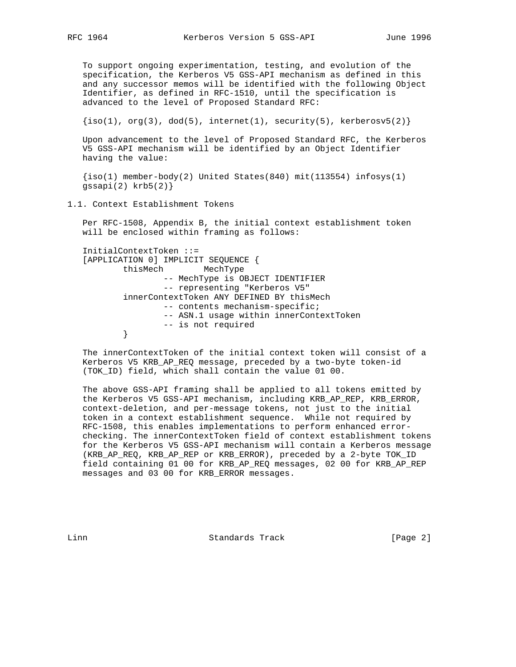To support ongoing experimentation, testing, and evolution of the specification, the Kerberos V5 GSS-API mechanism as defined in this and any successor memos will be identified with the following Object Identifier, as defined in RFC-1510, until the specification is advanced to the level of Proposed Standard RFC:

 $\{iso(1), org(3), dod(5), internet(1), security(5), kerberosv5(2)\}\$ 

 Upon advancement to the level of Proposed Standard RFC, the Kerberos V5 GSS-API mechanism will be identified by an Object Identifier having the value:

 $\{iso(1)$  member-body(2) United States(840) mit(113554) infosys(1) gssapi $(2)$  krb $5(2)$ }

1.1. Context Establishment Tokens

 Per RFC-1508, Appendix B, the initial context establishment token will be enclosed within framing as follows:

```
 InitialContextToken ::=
   [APPLICATION 0] IMPLICIT SEQUENCE {
           thisMech MechType
                   -- MechType is OBJECT IDENTIFIER
                   -- representing "Kerberos V5"
           innerContextToken ANY DEFINED BY thisMech
                   -- contents mechanism-specific;
                  -- ASN.1 usage within innerContextToken
          -- is not required }
 }
```
 The innerContextToken of the initial context token will consist of a Kerberos V5 KRB\_AP\_REQ message, preceded by a two-byte token-id (TOK\_ID) field, which shall contain the value 01 00.

 The above GSS-API framing shall be applied to all tokens emitted by the Kerberos V5 GSS-API mechanism, including KRB\_AP\_REP, KRB\_ERROR, context-deletion, and per-message tokens, not just to the initial token in a context establishment sequence. While not required by RFC-1508, this enables implementations to perform enhanced error checking. The innerContextToken field of context establishment tokens for the Kerberos V5 GSS-API mechanism will contain a Kerberos message (KRB\_AP\_REQ, KRB\_AP\_REP or KRB\_ERROR), preceded by a 2-byte TOK\_ID field containing 01 00 for KRB\_AP\_REQ messages, 02 00 for KRB\_AP\_REP messages and 03 00 for KRB\_ERROR messages.

Linn **Standards Track** [Page 2]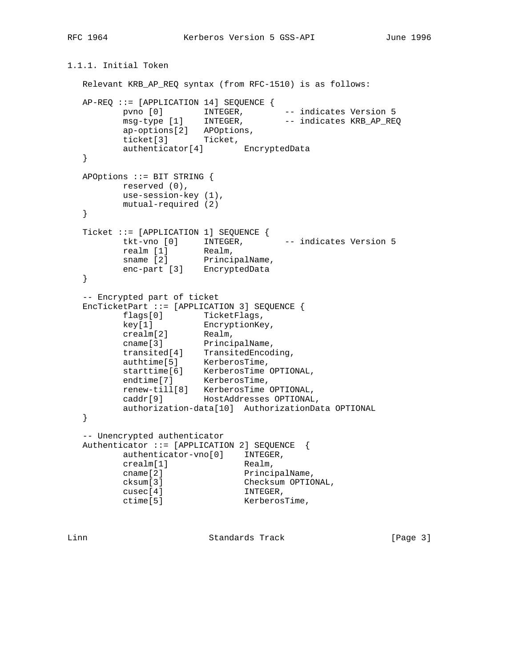1.1.1. Initial Token

```
 Relevant KRB_AP_REQ syntax (from RFC-1510) is as follows:
   AP-REQ ::= [APPLICATION 14] SEQUENCE {
pvno [0] I INTEGER, - indicates Version 5
msg-type [1] INTEGER, -- indicates KRB_AP_REQ
 ap-options[2] APOptions,
 ticket[3] Ticket,
         authenticator[4] EncryptedData
   }
   APOptions ::= BIT STRING {
        reserved (0),
         use-session-key (1),
         mutual-required (2)
   }
 Ticket ::= [APPLICATION 1] SEQUENCE {
tkt-vno [0] INTEGER, -- indicates Version 5
realm [1] Realm,
sname [2] PrincipalName,
 enc-part [3] EncryptedData
   }
   -- Encrypted part of ticket
   EncTicketPart ::= [APPLICATION 3] SEQUENCE {
flags[0] TicketFlags,
 key[1] EncryptionKey,
 crealm[2] Realm,
cname[3] PrincipalName,
 transited[4] TransitedEncoding,
 authtime[5] KerberosTime,
 starttime[6] KerberosTime OPTIONAL,
endtime[7] KerberosTime,
 renew-till[8] KerberosTime OPTIONAL,
 caddr[9] HostAddresses OPTIONAL,
         authorization-data[10] AuthorizationData OPTIONAL
   }
   -- Unencrypted authenticator
   Authenticator ::= [APPLICATION 2] SEQUENCE {
         authenticator-vno[0] INTEGER,
        crealm[1] Realm,
                           PrincipalName,
                           Checksum OPTIONAL,
        cname[2] Principa<br>
cksum[3] Principa<br>
cusec[4] INTEGER,<br>
ctime[5] Kerberos'
                       KerberosTime,
```
Linn Standards Track [Page 3]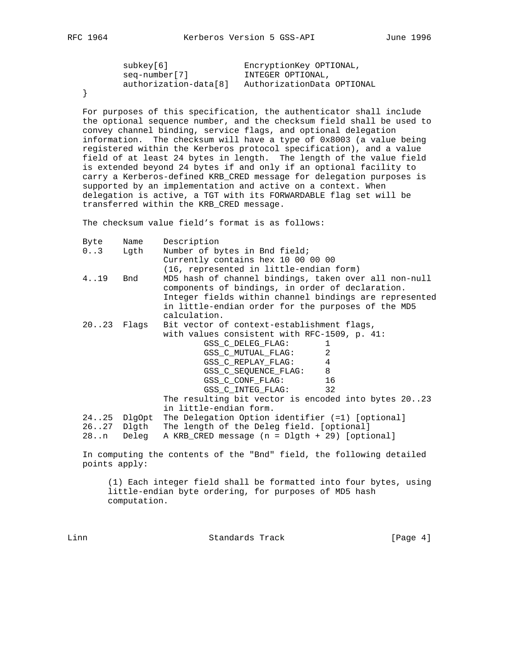| subkey[6]             | EncryptionKey OPTIONAL,    |
|-----------------------|----------------------------|
| seg-number[7]         | INTEGER OPTIONAL,          |
| authorization-data[8] | AuthorizationData OPTIONAL |

}

 For purposes of this specification, the authenticator shall include the optional sequence number, and the checksum field shall be used to convey channel binding, service flags, and optional delegation information. The checksum will have a type of 0x8003 (a value being registered within the Kerberos protocol specification), and a value field of at least 24 bytes in length. The length of the value field is extended beyond 24 bytes if and only if an optional facility to carry a Kerberos-defined KRB\_CRED message for delegation purposes is supported by an implementation and active on a context. When delegation is active, a TGT with its FORWARDABLE flag set will be transferred within the KRB\_CRED message.

The checksum value field's format is as follows:

| Byte      | Name        | Description                                                                                               |  |  |
|-----------|-------------|-----------------------------------------------------------------------------------------------------------|--|--|
| $03$ Lgth |             | Number of bytes in Bnd field;                                                                             |  |  |
|           |             | Currently contains hex 10 00 00 00                                                                        |  |  |
|           |             | (16, represented in little-endian form)                                                                   |  |  |
| 4.19      | Bnd         | MD5 hash of channel bindings, taken over all non-null<br>components of bindings, in order of declaration. |  |  |
|           |             | Integer fields within channel bindings are represented                                                    |  |  |
|           |             | in little-endian order for the purposes of the MD5                                                        |  |  |
|           |             | calculation.                                                                                              |  |  |
|           |             | 2023 Flags Bit vector of context-establishment flags,                                                     |  |  |
|           |             | with values consistent with RFC-1509, p. 41:                                                              |  |  |
|           |             | GSS_C_DELEG_FLAG:<br>1                                                                                    |  |  |
|           |             | $\mathfrak{D}$<br>GSS C MUTUAL FLAG:                                                                      |  |  |
|           |             | GSS_C_REPLAY_FLAG: 4                                                                                      |  |  |
|           |             | GSS_C_SEQUENCE_FLAG: 8                                                                                    |  |  |
|           |             | GSS_C_CONF_FLAG: 16                                                                                       |  |  |
|           |             | GSS C INTEG FLAG:<br>32                                                                                   |  |  |
|           |             | The resulting bit vector is encoded into bytes 2023                                                       |  |  |
|           |             | in little-endian form.                                                                                    |  |  |
|           | 2425 DlgOpt | The Delegation Option identifier (=1) [optional]                                                          |  |  |
|           |             | 2627 Dlgth The length of the Deleg field. [optional]                                                      |  |  |
|           |             | 28n Deleg A KRB CRED message (n = Dlgth + 29) [optional]                                                  |  |  |
|           |             |                                                                                                           |  |  |

 In computing the contents of the "Bnd" field, the following detailed points apply:

 (1) Each integer field shall be formatted into four bytes, using little-endian byte ordering, for purposes of MD5 hash computation.

Linn **Standards Track** [Page 4]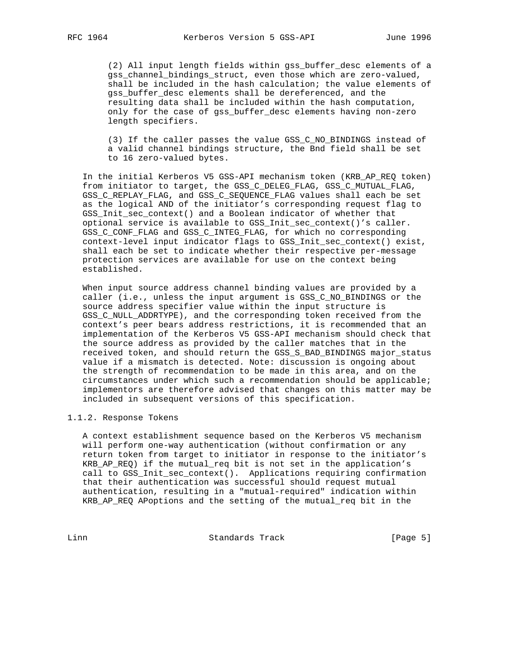(2) All input length fields within gss\_buffer\_desc elements of a gss\_channel\_bindings\_struct, even those which are zero-valued, shall be included in the hash calculation; the value elements of gss buffer desc elements shall be dereferenced, and the resulting data shall be included within the hash computation, only for the case of gss\_buffer\_desc elements having non-zero length specifiers.

 (3) If the caller passes the value GSS\_C\_NO\_BINDINGS instead of a valid channel bindings structure, the Bnd field shall be set to 16 zero-valued bytes.

 In the initial Kerberos V5 GSS-API mechanism token (KRB\_AP\_REQ token) from initiator to target, the GSS\_C\_DELEG\_FLAG, GSS\_C\_MUTUAL\_FLAG, GSS\_C\_REPLAY\_FLAG, and GSS\_C\_SEQUENCE\_FLAG values shall each be set as the logical AND of the initiator's corresponding request flag to GSS\_Init\_sec\_context() and a Boolean indicator of whether that optional service is available to GSS\_Init\_sec\_context()'s caller. GSS\_C\_CONF\_FLAG and GSS\_C\_INTEG\_FLAG, for which no corresponding context-level input indicator flags to GSS\_Init\_sec\_context() exist, shall each be set to indicate whether their respective per-message protection services are available for use on the context being established.

 When input source address channel binding values are provided by a caller (i.e., unless the input argument is GSS\_C\_NO\_BINDINGS or the source address specifier value within the input structure is GSS\_C\_NULL\_ADDRTYPE), and the corresponding token received from the context's peer bears address restrictions, it is recommended that an implementation of the Kerberos V5 GSS-API mechanism should check that the source address as provided by the caller matches that in the received token, and should return the GSS\_S\_BAD\_BINDINGS major\_status value if a mismatch is detected. Note: discussion is ongoing about the strength of recommendation to be made in this area, and on the circumstances under which such a recommendation should be applicable; implementors are therefore advised that changes on this matter may be included in subsequent versions of this specification.

## 1.1.2. Response Tokens

 A context establishment sequence based on the Kerberos V5 mechanism will perform one-way authentication (without confirmation or any return token from target to initiator in response to the initiator's KRB\_AP\_REQ) if the mutual\_req bit is not set in the application's call to GSS\_Init\_sec\_context(). Applications requiring confirmation that their authentication was successful should request mutual authentication, resulting in a "mutual-required" indication within KRB\_AP\_REQ APoptions and the setting of the mutual\_req bit in the

Linn Standards Track [Page 5]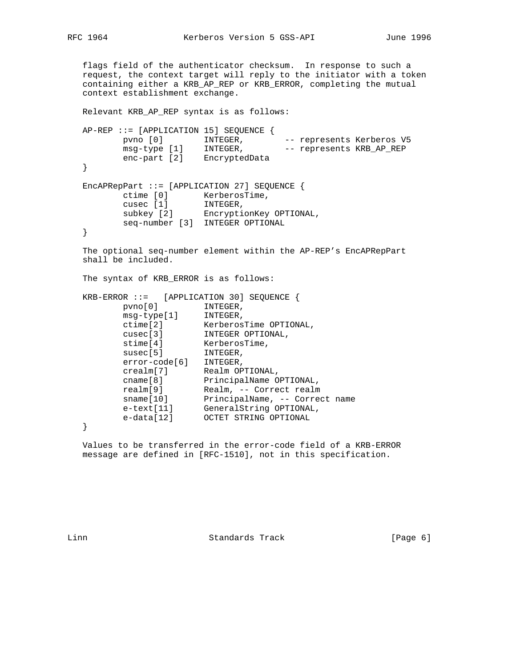```
 flags field of the authenticator checksum. In response to such a
   request, the context target will reply to the initiator with a token
   containing either a KRB_AP_REP or KRB_ERROR, completing the mutual
   context establishment exchange.
   Relevant KRB_AP_REP syntax is as follows:
   AP-REP ::= [APPLICATION 15] SEQUENCE {
pvno [0]       INTEGER,       -- represents Kerberos V5
msg-type [1] INTEGER, -- represents KRB_AP_REP
         enc-part [2] EncryptedData
   }
  EncAPRepPart ::=[APPLICATION 27] SEQUENCE ctime [0] KerberosTime,
cusec [1] INTEGER,
 subkey [2] EncryptionKey OPTIONAL,
         seq-number [3] INTEGER OPTIONAL
   }
   The optional seq-number element within the AP-REP's EncAPRepPart
   shall be included.
   The syntax of KRB_ERROR is as follows:
   KRB-ERROR ::= [APPLICATION 30] SEQUENCE {
pvno[0] INTEGER,
 msg-type[1] INTEGER,
 ctime[2] KerberosTime OPTIONAL,
 cusec[3] INTEGER OPTIONAL,
stime[4] KerberosTime,
susec[5] INTEGER,
         error-code[6] INTEGER,
 crealm[7] Realm OPTIONAL,
 cname[8] PrincipalName OPTIONAL,
 realm[9] Realm, -- Correct realm
 sname[10] PrincipalName, -- Correct name
 e-text[11] GeneralString OPTIONAL,
 e-data[12] OCTET STRING OPTIONAL
   }
```
 Values to be transferred in the error-code field of a KRB-ERROR message are defined in [RFC-1510], not in this specification.

Linn **Standards Track** [Page 6]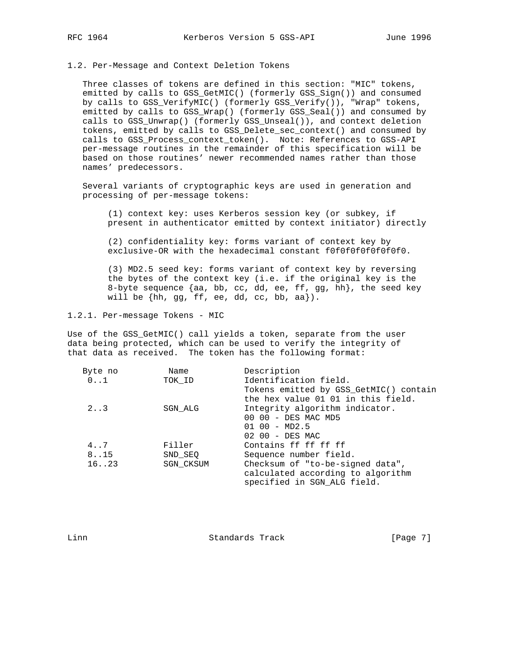### 1.2. Per-Message and Context Deletion Tokens

 Three classes of tokens are defined in this section: "MIC" tokens, emitted by calls to GSS\_GetMIC() (formerly GSS\_Sign()) and consumed by calls to GSS\_VerifyMIC() (formerly GSS\_Verify()), "Wrap" tokens, emitted by calls to GSS\_Wrap() (formerly GSS\_Seal()) and consumed by calls to GSS\_Unwrap() (formerly GSS\_Unseal()), and context deletion tokens, emitted by calls to GSS\_Delete\_sec\_context() and consumed by calls to GSS\_Process\_context\_token(). Note: References to GSS-API per-message routines in the remainder of this specification will be based on those routines' newer recommended names rather than those names' predecessors.

 Several variants of cryptographic keys are used in generation and processing of per-message tokens:

 (1) context key: uses Kerberos session key (or subkey, if present in authenticator emitted by context initiator) directly

 (2) confidentiality key: forms variant of context key by exclusive-OR with the hexadecimal constant f0f0f0f0f0f0f0f0.

 (3) MD2.5 seed key: forms variant of context key by reversing the bytes of the context key (i.e. if the original key is the 8-byte sequence {aa, bb, cc, dd, ee, ff, gg, hh}, the seed key will be  $\{hh, gg, ff, ee, dd, cc, bb, aa\}$ .

1.2.1. Per-message Tokens - MIC

Use of the GSS\_GetMIC() call yields a token, separate from the user data being protected, which can be used to verify the integrity of that data as received. The token has the following format:

| Byte no      | Name             | Description                            |
|--------------|------------------|----------------------------------------|
| $0 \ldots 1$ | TOK ID           | Identification field.                  |
|              |                  | Tokens emitted by GSS GetMIC() contain |
|              |                  | the hex value 01 01 in this field.     |
| $2 \ldots 3$ | SGN ALG          | Integrity algorithm indicator.         |
|              |                  | 00 00 - DES MAC MD5                    |
|              |                  | $0100 - MD2.5$                         |
|              |                  | 02 00 - DES MAC                        |
| 4.7          | Filler           | Contains ff ff ff ff                   |
| 8.15         | SND SEO          | Sequence number field.                 |
| 16. .23      | <b>SGN CKSUM</b> | Checksum of "to-be-signed data",       |
|              |                  | calculated according to algorithm      |
|              |                  | specified in SGN ALG field.            |
|              |                  |                                        |

Linn Standards Track [Page 7]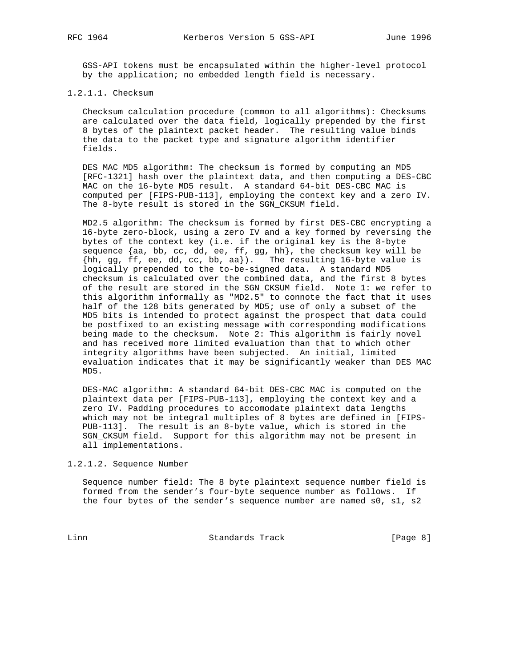GSS-API tokens must be encapsulated within the higher-level protocol by the application; no embedded length field is necessary.

## 1.2.1.1. Checksum

 Checksum calculation procedure (common to all algorithms): Checksums are calculated over the data field, logically prepended by the first 8 bytes of the plaintext packet header. The resulting value binds the data to the packet type and signature algorithm identifier fields.

 DES MAC MD5 algorithm: The checksum is formed by computing an MD5 [RFC-1321] hash over the plaintext data, and then computing a DES-CBC MAC on the 16-byte MD5 result. A standard 64-bit DES-CBC MAC is computed per [FIPS-PUB-113], employing the context key and a zero IV. The 8-byte result is stored in the SGN CKSUM field.

 MD2.5 algorithm: The checksum is formed by first DES-CBC encrypting a 16-byte zero-block, using a zero IV and a key formed by reversing the bytes of the context key (i.e. if the original key is the 8-byte sequence {aa, bb, cc, dd, ee, ff, gg, hh}, the checksum key will be {hh, gg, ff, ee, dd, cc, bb, aa}). The resulting 16-byte value is logically prepended to the to-be-signed data. A standard MD5 checksum is calculated over the combined data, and the first 8 bytes of the result are stored in the SGN\_CKSUM field. Note 1: we refer to this algorithm informally as "MD2.5" to connote the fact that it uses half of the 128 bits generated by MD5; use of only a subset of the MD5 bits is intended to protect against the prospect that data could be postfixed to an existing message with corresponding modifications being made to the checksum. Note 2: This algorithm is fairly novel and has received more limited evaluation than that to which other integrity algorithms have been subjected. An initial, limited evaluation indicates that it may be significantly weaker than DES MAC MD5.

 DES-MAC algorithm: A standard 64-bit DES-CBC MAC is computed on the plaintext data per [FIPS-PUB-113], employing the context key and a zero IV. Padding procedures to accomodate plaintext data lengths which may not be integral multiples of 8 bytes are defined in [FIPS- PUB-113]. The result is an 8-byte value, which is stored in the SGN\_CKSUM field. Support for this algorithm may not be present in all implementations.

1.2.1.2. Sequence Number

 Sequence number field: The 8 byte plaintext sequence number field is formed from the sender's four-byte sequence number as follows. If the four bytes of the sender's sequence number are named s0, s1, s2

Linn Standards Track [Page 8]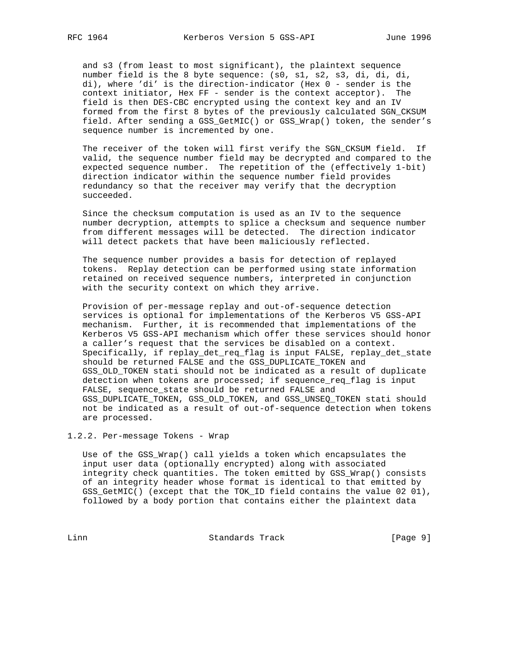and s3 (from least to most significant), the plaintext sequence number field is the 8 byte sequence: (s0, s1, s2, s3, di, di, di, di), where 'di' is the direction-indicator (Hex 0 - sender is the context initiator, Hex FF - sender is the context acceptor). The field is then DES-CBC encrypted using the context key and an IV formed from the first 8 bytes of the previously calculated SGN\_CKSUM field. After sending a GSS\_GetMIC() or GSS\_Wrap() token, the sender's sequence number is incremented by one.

 The receiver of the token will first verify the SGN\_CKSUM field. If valid, the sequence number field may be decrypted and compared to the expected sequence number. The repetition of the (effectively 1-bit) direction indicator within the sequence number field provides redundancy so that the receiver may verify that the decryption succeeded.

 Since the checksum computation is used as an IV to the sequence number decryption, attempts to splice a checksum and sequence number from different messages will be detected. The direction indicator will detect packets that have been maliciously reflected.

 The sequence number provides a basis for detection of replayed tokens. Replay detection can be performed using state information retained on received sequence numbers, interpreted in conjunction with the security context on which they arrive.

 Provision of per-message replay and out-of-sequence detection services is optional for implementations of the Kerberos V5 GSS-API mechanism. Further, it is recommended that implementations of the Kerberos V5 GSS-API mechanism which offer these services should honor a caller's request that the services be disabled on a context. Specifically, if replay\_det\_req\_flag is input FALSE, replay\_det\_state should be returned FALSE and the GSS\_DUPLICATE\_TOKEN and GSS\_OLD\_TOKEN stati should not be indicated as a result of duplicate detection when tokens are processed; if sequence\_req\_flag is input FALSE, sequence\_state should be returned FALSE and GSS\_DUPLICATE\_TOKEN, GSS\_OLD\_TOKEN, and GSS\_UNSEQ\_TOKEN stati should not be indicated as a result of out-of-sequence detection when tokens are processed.

1.2.2. Per-message Tokens - Wrap

 Use of the GSS\_Wrap() call yields a token which encapsulates the input user data (optionally encrypted) along with associated integrity check quantities. The token emitted by GSS\_Wrap() consists of an integrity header whose format is identical to that emitted by GSS\_GetMIC() (except that the TOK\_ID field contains the value 02 01), followed by a body portion that contains either the plaintext data

Linn Standards Track [Page 9]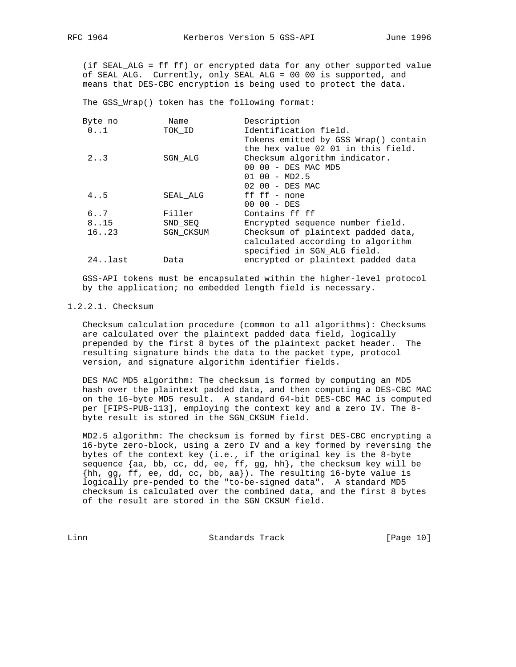(if SEAL\_ALG = ff ff) or encrypted data for any other supported value of SEAL\_ALG. Currently, only SEAL\_ALG = 00 00 is supported, and means that DES-CBC encryption is being used to protect the data.

The GSS\_Wrap() token has the following format:

| Byte no | Name             | Description                          |
|---------|------------------|--------------------------------------|
| 0.1     | TOK ID           | Identification field.                |
|         |                  | Tokens emitted by GSS_Wrap() contain |
|         |                  | the hex value 02 01 in this field.   |
| 2.3     | SGN ALG          | Checksum algorithm indicator.        |
|         |                  | 00 00 - DES MAC MD5                  |
|         |                  | $0100 - MD2.5$                       |
|         |                  | 02 00 - DES MAC                      |
| 4.05    | SEAL ALG         | ff $ff - none$                       |
|         |                  | $0000 - DES$                         |
| 6.07    | Filler           | Contains ff ff                       |
| 8.15    | SND SEO          | Encrypted sequence number field.     |
| 16. .23 | <b>SGN CKSUM</b> | Checksum of plaintext padded data,   |
|         |                  | calculated according to algorithm    |
|         |                  | specified in SGN_ALG field.          |
| 24last  | Data             | encrypted or plaintext padded data   |
|         |                  |                                      |

 GSS-API tokens must be encapsulated within the higher-level protocol by the application; no embedded length field is necessary.

## 1.2.2.1. Checksum

 Checksum calculation procedure (common to all algorithms): Checksums are calculated over the plaintext padded data field, logically prepended by the first 8 bytes of the plaintext packet header. The resulting signature binds the data to the packet type, protocol version, and signature algorithm identifier fields.

 DES MAC MD5 algorithm: The checksum is formed by computing an MD5 hash over the plaintext padded data, and then computing a DES-CBC MAC on the 16-byte MD5 result. A standard 64-bit DES-CBC MAC is computed per [FIPS-PUB-113], employing the context key and a zero IV. The 8 byte result is stored in the SGN\_CKSUM field.

 MD2.5 algorithm: The checksum is formed by first DES-CBC encrypting a 16-byte zero-block, using a zero IV and a key formed by reversing the bytes of the context key (i.e., if the original key is the 8-byte sequence  $\{aa, bb, cc, dd, ee, ff, gg, hh\}$ , the checksum key will be {hh, gg, ff, ee, dd, cc, bb, aa}). The resulting 16-byte value is logically pre-pended to the "to-be-signed data". A standard MD5 checksum is calculated over the combined data, and the first 8 bytes of the result are stored in the SGN\_CKSUM field.

Linn Standards Track [Page 10]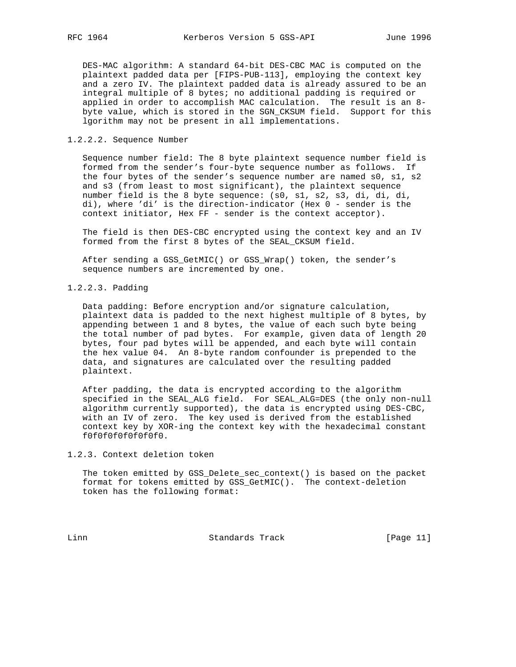DES-MAC algorithm: A standard 64-bit DES-CBC MAC is computed on the plaintext padded data per [FIPS-PUB-113], employing the context key and a zero IV. The plaintext padded data is already assured to be an integral multiple of 8 bytes; no additional padding is required or applied in order to accomplish MAC calculation. The result is an 8 byte value, which is stored in the SGN\_CKSUM field. Support for this lgorithm may not be present in all implementations.

## 1.2.2.2. Sequence Number

 Sequence number field: The 8 byte plaintext sequence number field is formed from the sender's four-byte sequence number as follows. If the four bytes of the sender's sequence number are named s0, s1, s2 and s3 (from least to most significant), the plaintext sequence number field is the 8 byte sequence: (s0, s1, s2, s3, di, di, di, di), where 'di' is the direction-indicator (Hex 0 - sender is the context initiator, Hex FF - sender is the context acceptor).

 The field is then DES-CBC encrypted using the context key and an IV formed from the first 8 bytes of the SEAL\_CKSUM field.

 After sending a GSS\_GetMIC() or GSS\_Wrap() token, the sender's sequence numbers are incremented by one.

## 1.2.2.3. Padding

 Data padding: Before encryption and/or signature calculation, plaintext data is padded to the next highest multiple of 8 bytes, by appending between 1 and 8 bytes, the value of each such byte being the total number of pad bytes. For example, given data of length 20 bytes, four pad bytes will be appended, and each byte will contain the hex value 04. An 8-byte random confounder is prepended to the data, and signatures are calculated over the resulting padded plaintext.

 After padding, the data is encrypted according to the algorithm specified in the SEAL\_ALG field. For SEAL\_ALG=DES (the only non-null algorithm currently supported), the data is encrypted using DES-CBC, with an IV of zero. The key used is derived from the established context key by XOR-ing the context key with the hexadecimal constant f0f0f0f0f0f0f0f0.

1.2.3. Context deletion token

 The token emitted by GSS\_Delete\_sec\_context() is based on the packet format for tokens emitted by GSS\_GetMIC(). The context-deletion token has the following format:

Linn Standards Track [Page 11]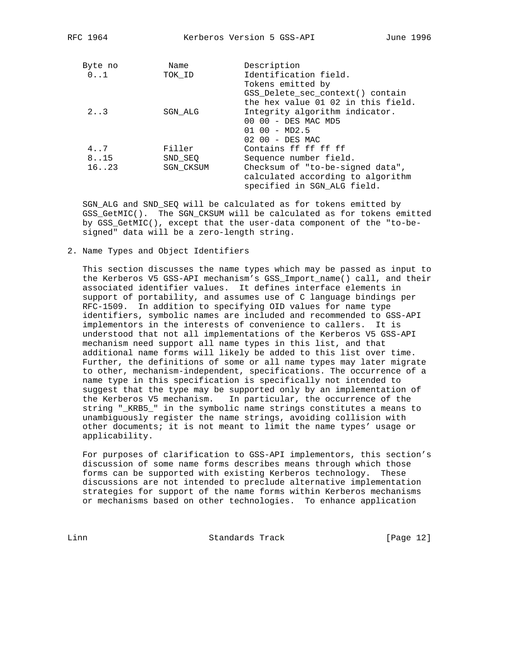| Byte no<br>$0 \ldots 1$ | Name<br>TOK ID   | Description<br>Identification field.                                   |
|-------------------------|------------------|------------------------------------------------------------------------|
|                         |                  | Tokens emitted by                                                      |
|                         |                  | GSS Delete sec context() contain<br>the hex value 01 02 in this field. |
| 2.3                     | SGN ALG          | Integrity algorithm indicator.                                         |
|                         |                  | 00 00 - DES MAC MD5                                                    |
|                         |                  | $0100 - MD2.5$                                                         |
|                         |                  | 02 00 - DES MAC                                                        |
| 4.7                     | Filler           | Contains ff ff ff ff                                                   |
| 8.15                    | SND SEQ          | Sequence number field.                                                 |
| 16.023                  | <b>SGN CKSUM</b> | Checksum of "to-be-signed data",                                       |
|                         |                  | calculated according to algorithm                                      |
|                         |                  | specified in SGN ALG field.                                            |

 SGN\_ALG and SND\_SEQ will be calculated as for tokens emitted by GSS\_GetMIC(). The SGN\_CKSUM will be calculated as for tokens emitted by GSS\_GetMIC(), except that the user-data component of the "to-be signed" data will be a zero-length string.

2. Name Types and Object Identifiers

 This section discusses the name types which may be passed as input to the Kerberos V5 GSS-API mechanism's GSS\_Import\_name() call, and their associated identifier values. It defines interface elements in support of portability, and assumes use of C language bindings per RFC-1509. In addition to specifying OID values for name type identifiers, symbolic names are included and recommended to GSS-API implementors in the interests of convenience to callers. It is understood that not all implementations of the Kerberos V5 GSS-API mechanism need support all name types in this list, and that additional name forms will likely be added to this list over time. Further, the definitions of some or all name types may later migrate to other, mechanism-independent, specifications. The occurrence of a name type in this specification is specifically not intended to suggest that the type may be supported only by an implementation of the Kerberos V5 mechanism. In particular, the occurrence of the string "\_KRB5\_" in the symbolic name strings constitutes a means to unambiguously register the name strings, avoiding collision with other documents; it is not meant to limit the name types' usage or applicability.

 For purposes of clarification to GSS-API implementors, this section's discussion of some name forms describes means through which those forms can be supported with existing Kerberos technology. These discussions are not intended to preclude alternative implementation strategies for support of the name forms within Kerberos mechanisms or mechanisms based on other technologies. To enhance application

Linn Standards Track [Page 12]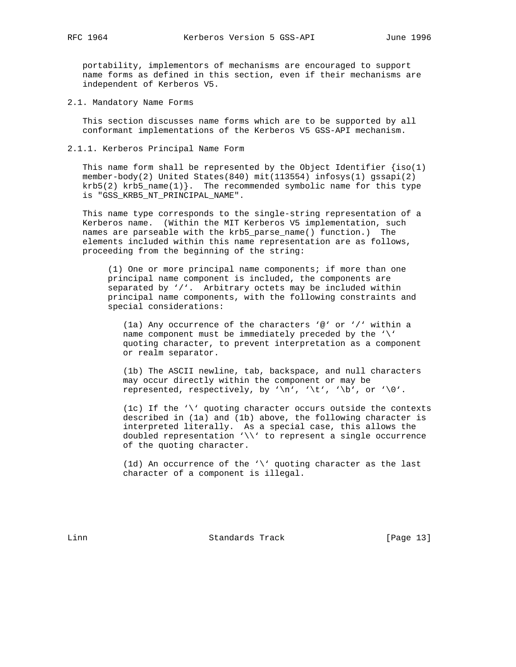portability, implementors of mechanisms are encouraged to support name forms as defined in this section, even if their mechanisms are independent of Kerberos V5.

2.1. Mandatory Name Forms

 This section discusses name forms which are to be supported by all conformant implementations of the Kerberos V5 GSS-API mechanism.

2.1.1. Kerberos Principal Name Form

This name form shall be represented by the Object Identifier  $\{iso(1)\}$  member-body(2) United States(840) mit(113554) infosys(1) gssapi(2)  $krb5(2)$  krb5\_name(1) }. The recommended symbolic name for this type is "GSS\_KRB5\_NT\_PRINCIPAL\_NAME".

 This name type corresponds to the single-string representation of a Kerberos name. (Within the MIT Kerberos V5 implementation, such names are parseable with the krb5\_parse\_name() function.) The elements included within this name representation are as follows, proceeding from the beginning of the string:

 (1) One or more principal name components; if more than one principal name component is included, the components are separated by '/'. Arbitrary octets may be included within principal name components, with the following constraints and special considerations:

 (1a) Any occurrence of the characters '@' or '/' within a name component must be immediately preceded by the '\' quoting character, to prevent interpretation as a component or realm separator.

 (1b) The ASCII newline, tab, backspace, and null characters may occur directly within the component or may be represented, respectively, by '\n', '\t', '\b', or '\0'.

 (1c) If the '\' quoting character occurs outside the contexts described in (1a) and (1b) above, the following character is interpreted literally. As a special case, this allows the doubled representation '\\' to represent a single occurrence of the quoting character.

 (1d) An occurrence of the '\' quoting character as the last character of a component is illegal.

Linn Standards Track [Page 13]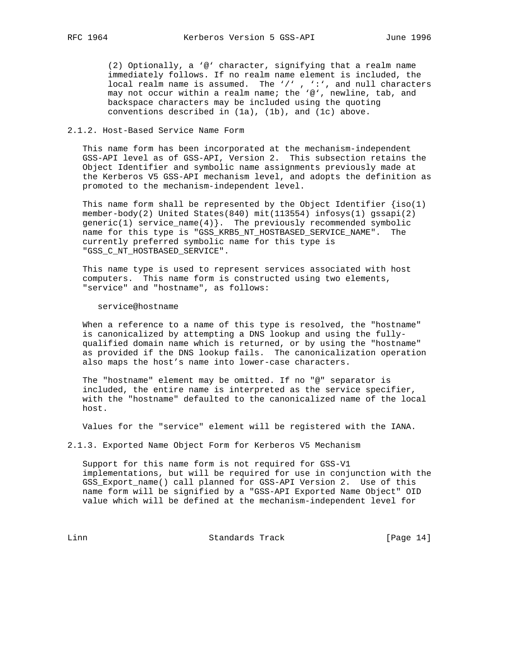(2) Optionally, a '@' character, signifying that a realm name immediately follows. If no realm name element is included, the local realm name is assumed. The '/', ':', and null characters may not occur within a realm name; the '@', newline, tab, and backspace characters may be included using the quoting conventions described in (1a), (1b), and (1c) above.

## 2.1.2. Host-Based Service Name Form

 This name form has been incorporated at the mechanism-independent GSS-API level as of GSS-API, Version 2. This subsection retains the Object Identifier and symbolic name assignments previously made at the Kerberos V5 GSS-API mechanism level, and adopts the definition as promoted to the mechanism-independent level.

This name form shall be represented by the Object Identifier  $\{iso(1)$  member-body(2) United States(840) mit(113554) infosys(1) gssapi(2)  $generic(1) service_name(4)$ . The previously recommended symbolic name for this type is "GSS\_KRB5\_NT\_HOSTBASED\_SERVICE\_NAME". The currently preferred symbolic name for this type is "GSS\_C\_NT\_HOSTBASED\_SERVICE".

 This name type is used to represent services associated with host computers. This name form is constructed using two elements, "service" and "hostname", as follows:

#### service@hostname

 When a reference to a name of this type is resolved, the "hostname" is canonicalized by attempting a DNS lookup and using the fully qualified domain name which is returned, or by using the "hostname" as provided if the DNS lookup fails. The canonicalization operation also maps the host's name into lower-case characters.

 The "hostname" element may be omitted. If no "@" separator is included, the entire name is interpreted as the service specifier, with the "hostname" defaulted to the canonicalized name of the local host.

Values for the "service" element will be registered with the IANA.

2.1.3. Exported Name Object Form for Kerberos V5 Mechanism

 Support for this name form is not required for GSS-V1 implementations, but will be required for use in conjunction with the GSS\_Export\_name() call planned for GSS-API Version 2. Use of this name form will be signified by a "GSS-API Exported Name Object" OID value which will be defined at the mechanism-independent level for

Linn Standards Track [Page 14]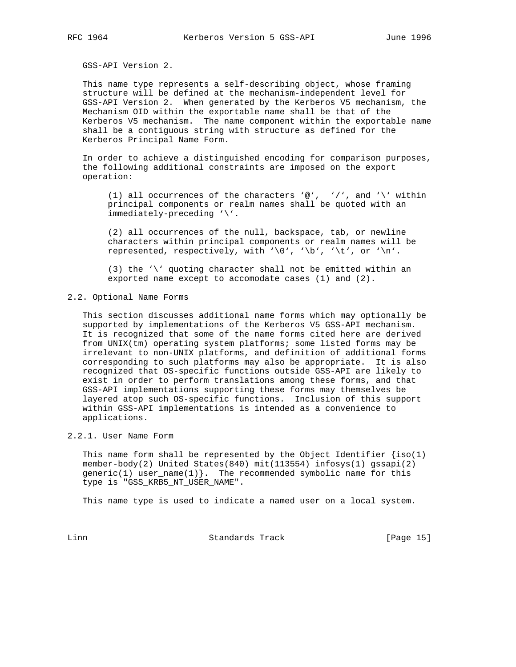GSS-API Version 2.

 This name type represents a self-describing object, whose framing structure will be defined at the mechanism-independent level for GSS-API Version 2. When generated by the Kerberos V5 mechanism, the Mechanism OID within the exportable name shall be that of the Kerberos V5 mechanism. The name component within the exportable name shall be a contiguous string with structure as defined for the Kerberos Principal Name Form.

 In order to achieve a distinguished encoding for comparison purposes, the following additional constraints are imposed on the export operation:

(1) all occurrences of the characters '@', '/', and '\' within principal components or realm names shall be quoted with an immediately-preceding '\'.

 (2) all occurrences of the null, backspace, tab, or newline characters within principal components or realm names will be represented, respectively, with '\0', '\b', '\t', or '\n'.

 (3) the '\' quoting character shall not be emitted within an exported name except to accomodate cases (1) and (2).

#### 2.2. Optional Name Forms

 This section discusses additional name forms which may optionally be supported by implementations of the Kerberos V5 GSS-API mechanism. It is recognized that some of the name forms cited here are derived from UNIX(tm) operating system platforms; some listed forms may be irrelevant to non-UNIX platforms, and definition of additional forms corresponding to such platforms may also be appropriate. It is also recognized that OS-specific functions outside GSS-API are likely to exist in order to perform translations among these forms, and that GSS-API implementations supporting these forms may themselves be layered atop such OS-specific functions. Inclusion of this support within GSS-API implementations is intended as a convenience to applications.

## 2.2.1. User Name Form

This name form shall be represented by the Object Identifier  $\{iso(1)\}$  member-body(2) United States(840) mit(113554) infosys(1) gssapi(2)  $generic(1)$  user\_name $(1)$ }. The recommended symbolic name for this type is "GSS\_KRB5\_NT\_USER\_NAME".

This name type is used to indicate a named user on a local system.

Linn Standards Track [Page 15]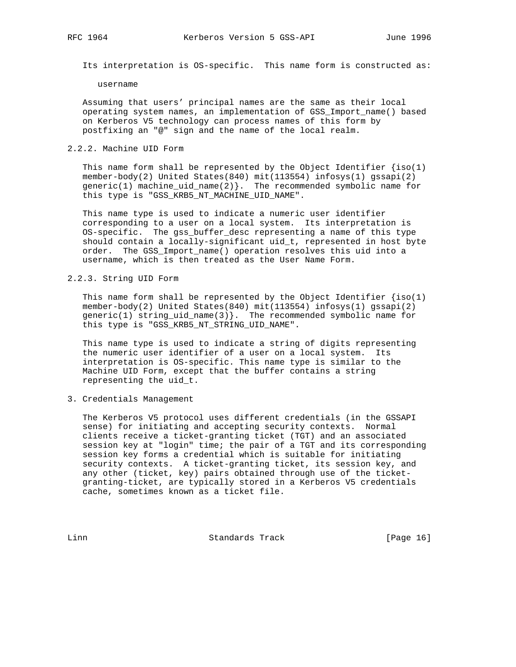Its interpretation is OS-specific. This name form is constructed as:

username

 Assuming that users' principal names are the same as their local operating system names, an implementation of GSS\_Import\_name() based on Kerberos V5 technology can process names of this form by postfixing an "@" sign and the name of the local realm.

## 2.2.2. Machine UID Form

This name form shall be represented by the Object Identifier  $\{iso(1)\}$  member-body(2) United States(840) mit(113554) infosys(1) gssapi(2)  $generic(1)$  machine\_uid\_name $(2)$ }. The recommended symbolic name for this type is "GSS\_KRB5\_NT\_MACHINE\_UID\_NAME".

 This name type is used to indicate a numeric user identifier corresponding to a user on a local system. Its interpretation is OS-specific. The gss\_buffer\_desc representing a name of this type should contain a locally-significant uid\_t, represented in host byte order. The GSS\_Import\_name() operation resolves this uid into a username, which is then treated as the User Name Form.

## 2.2.3. String UID Form

This name form shall be represented by the Object Identifier  $\{iso(1)\}$  member-body(2) United States(840) mit(113554) infosys(1) gssapi(2)  $qeneric(1)$  string uid name(3). The recommended symbolic name for this type is "GSS\_KRB5\_NT\_STRING\_UID\_NAME".

 This name type is used to indicate a string of digits representing the numeric user identifier of a user on a local system. Its interpretation is OS-specific. This name type is similar to the Machine UID Form, except that the buffer contains a string representing the uid\_t.

3. Credentials Management

 The Kerberos V5 protocol uses different credentials (in the GSSAPI sense) for initiating and accepting security contexts. Normal clients receive a ticket-granting ticket (TGT) and an associated session key at "login" time; the pair of a TGT and its corresponding session key forms a credential which is suitable for initiating security contexts. A ticket-granting ticket, its session key, and any other (ticket, key) pairs obtained through use of the ticket granting-ticket, are typically stored in a Kerberos V5 credentials cache, sometimes known as a ticket file.

Linn Standards Track [Page 16]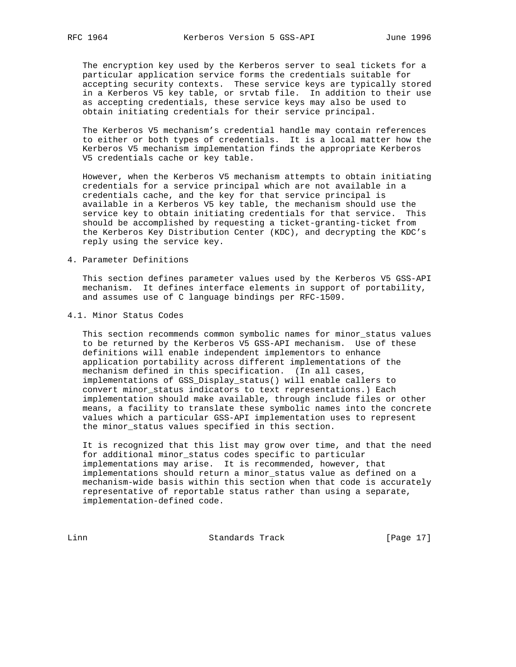The encryption key used by the Kerberos server to seal tickets for a particular application service forms the credentials suitable for accepting security contexts. These service keys are typically stored in a Kerberos V5 key table, or srvtab file. In addition to their use as accepting credentials, these service keys may also be used to obtain initiating credentials for their service principal.

 The Kerberos V5 mechanism's credential handle may contain references to either or both types of credentials. It is a local matter how the Kerberos V5 mechanism implementation finds the appropriate Kerberos V5 credentials cache or key table.

 However, when the Kerberos V5 mechanism attempts to obtain initiating credentials for a service principal which are not available in a credentials cache, and the key for that service principal is available in a Kerberos V5 key table, the mechanism should use the service key to obtain initiating credentials for that service. This should be accomplished by requesting a ticket-granting-ticket from the Kerberos Key Distribution Center (KDC), and decrypting the KDC's reply using the service key.

## 4. Parameter Definitions

 This section defines parameter values used by the Kerberos V5 GSS-API mechanism. It defines interface elements in support of portability, and assumes use of C language bindings per RFC-1509.

### 4.1. Minor Status Codes

 This section recommends common symbolic names for minor\_status values to be returned by the Kerberos V5 GSS-API mechanism. Use of these definitions will enable independent implementors to enhance application portability across different implementations of the mechanism defined in this specification. (In all cases, implementations of GSS\_Display\_status() will enable callers to convert minor\_status indicators to text representations.) Each implementation should make available, through include files or other means, a facility to translate these symbolic names into the concrete values which a particular GSS-API implementation uses to represent the minor\_status values specified in this section.

 It is recognized that this list may grow over time, and that the need for additional minor\_status codes specific to particular implementations may arise. It is recommended, however, that implementations should return a minor\_status value as defined on a mechanism-wide basis within this section when that code is accurately representative of reportable status rather than using a separate, implementation-defined code.

Linn Standards Track [Page 17]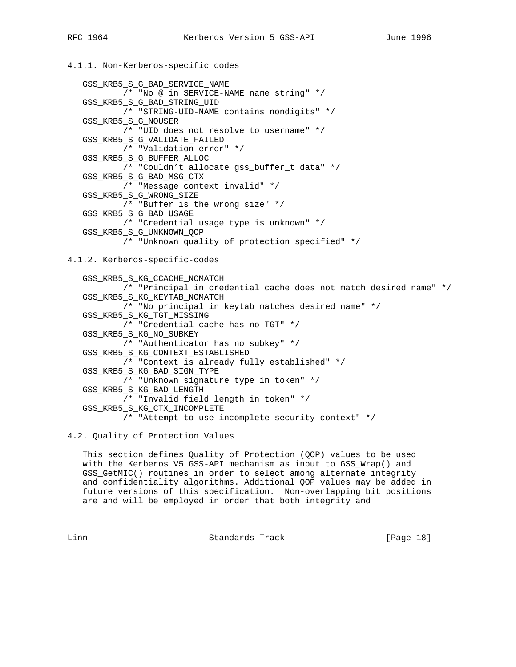```
4.1.1. Non-Kerberos-specific codes
```

```
 GSS_KRB5_S_G_BAD_SERVICE_NAME
        /* "No @ in SERVICE-NAME name string" */
 GSS_KRB5_S_G_BAD_STRING_UID
        /* "STRING-UID-NAME contains nondigits" */
 GSS_KRB5_S_G_NOUSER
        /* "UID does not resolve to username" */
 GSS_KRB5_S_G_VALIDATE_FAILED
        /* "Validation error" */
 GSS_KRB5_S_G_BUFFER_ALLOC
         /* "Couldn't allocate gss_buffer_t data" */
 GSS_KRB5_S_G_BAD_MSG_CTX
         /* "Message context invalid" */
 GSS_KRB5_S_G_WRONG_SIZE
        /* "Buffer is the wrong size" */
 GSS_KRB5_S_G_BAD_USAGE
        /* "Credential usage type is unknown" */
 GSS_KRB5_S_G_UNKNOWN_QOP
         /* "Unknown quality of protection specified" */
```
## 4.1.2. Kerberos-specific-codes

```
 GSS_KRB5_S_KG_CCACHE_NOMATCH
        /* "Principal in credential cache does not match desired name" */
 GSS_KRB5_S_KG_KEYTAB_NOMATCH
        /* "No principal in keytab matches desired name" */
 GSS_KRB5_S_KG_TGT_MISSING
        /* "Credential cache has no TGT" */
 GSS_KRB5_S_KG_NO_SUBKEY
        /* "Authenticator has no subkey" */
 GSS_KRB5_S_KG_CONTEXT_ESTABLISHED
        /* "Context is already fully established" */
 GSS_KRB5_S_KG_BAD_SIGN_TYPE
        /* "Unknown signature type in token" */
 GSS_KRB5_S_KG_BAD_LENGTH
        /* "Invalid field length in token" */
 GSS_KRB5_S_KG_CTX_INCOMPLETE
        /* "Attempt to use incomplete security context" */
```
# 4.2. Quality of Protection Values

 This section defines Quality of Protection (QOP) values to be used with the Kerberos V5 GSS-API mechanism as input to GSS\_Wrap() and GSS\_GetMIC() routines in order to select among alternate integrity and confidentiality algorithms. Additional QOP values may be added in future versions of this specification. Non-overlapping bit positions are and will be employed in order that both integrity and

Linn Standards Track [Page 18]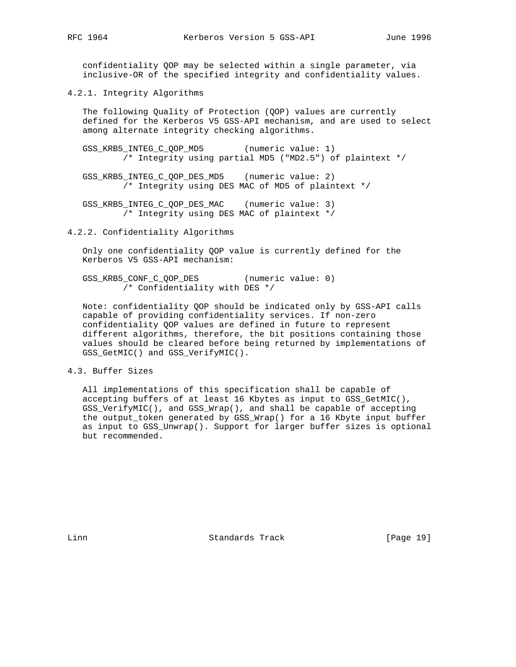confidentiality QOP may be selected within a single parameter, via inclusive-OR of the specified integrity and confidentiality values.

4.2.1. Integrity Algorithms

 The following Quality of Protection (QOP) values are currently defined for the Kerberos V5 GSS-API mechanism, and are used to select among alternate integrity checking algorithms.

 GSS\_KRB5\_INTEG\_C\_QOP\_MD5 (numeric value: 1) /\* Integrity using partial MD5 ("MD2.5") of plaintext \*/

 GSS\_KRB5\_INTEG\_C\_QOP\_DES\_MD5 (numeric value: 2) /\* Integrity using DES MAC of MD5 of plaintext \*/

 GSS\_KRB5\_INTEG\_C\_QOP\_DES\_MAC (numeric value: 3) /\* Integrity using DES MAC of plaintext \*/

4.2.2. Confidentiality Algorithms

 Only one confidentiality QOP value is currently defined for the Kerberos V5 GSS-API mechanism:

 GSS\_KRB5\_CONF\_C\_QOP\_DES (numeric value: 0) /\* Confidentiality with DES \*/

 Note: confidentiality QOP should be indicated only by GSS-API calls capable of providing confidentiality services. If non-zero confidentiality QOP values are defined in future to represent different algorithms, therefore, the bit positions containing those values should be cleared before being returned by implementations of GSS\_GetMIC() and GSS\_VerifyMIC().

## 4.3. Buffer Sizes

 All implementations of this specification shall be capable of accepting buffers of at least 16 Kbytes as input to GSS\_GetMIC(), GSS\_VerifyMIC(), and GSS\_Wrap(), and shall be capable of accepting the output\_token generated by GSS\_Wrap() for a 16 Kbyte input buffer as input to GSS\_Unwrap(). Support for larger buffer sizes is optional but recommended.

Linn Standards Track [Page 19]